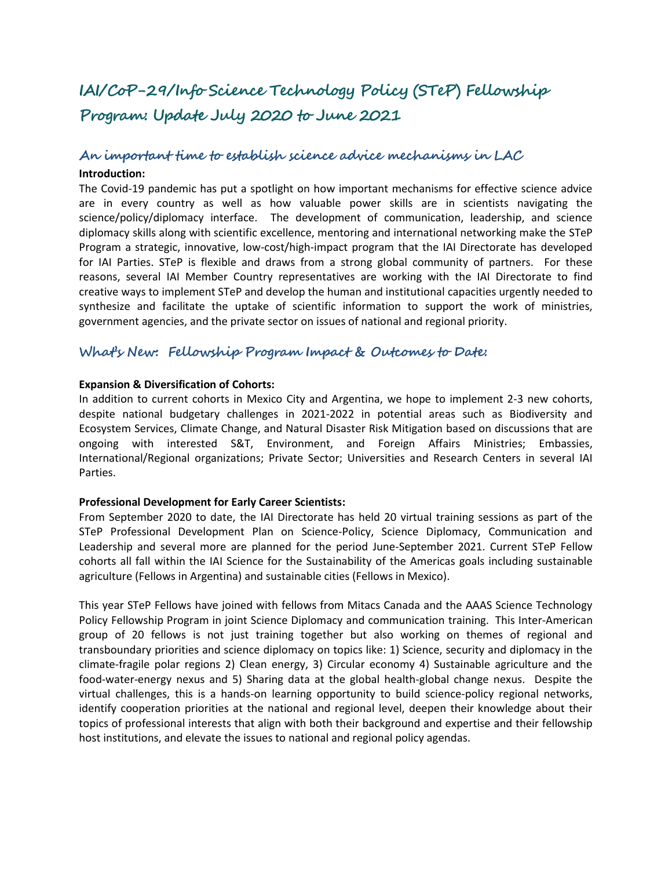# **IAI/CoP-29/Info Science Technology Policy (STeP) Fellowship Program: Update July 2020 to June 2021**

# **An important time to establish science advice mechanisms in LAC**

#### **Introduction:**

The Covid-19 pandemic has put a spotlight on how important mechanisms for effective science advice are in every country as well as how valuable power skills are in scientists navigating the science/policy/diplomacy interface. The development of communication, leadership, and science diplomacy skills along with scientific excellence, mentoring and international networking make the STeP Program a strategic, innovative, low-cost/high-impact program that the IAI Directorate has developed for IAI Parties. STeP is flexible and draws from a strong global community of partners. For these reasons, several IAI Member Country representatives are working with the IAI Directorate to find creative ways to implement STeP and develop the human and institutional capacities urgently needed to synthesize and facilitate the uptake of scientific information to support the work of ministries, government agencies, and the private sector on issues of national and regional priority.

# **What's New: Fellowship Program Impact & Outcomes to Date:**

#### **Expansion & Diversification of Cohorts:**

In addition to current cohorts in Mexico City and Argentina, we hope to implement 2-3 new cohorts, despite national budgetary challenges in 2021-2022 in potential areas such as Biodiversity and Ecosystem Services, Climate Change, and Natural Disaster Risk Mitigation based on discussions that are ongoing with interested S&T, Environment, and Foreign Affairs Ministries; Embassies, International/Regional organizations; Private Sector; Universities and Research Centers in several IAI Parties.

#### **Professional Development for Early Career Scientists:**

From September 2020 to date, the IAI Directorate has held 20 virtual training sessions as part of the STeP Professional Development Plan on Science-Policy, Science Diplomacy, Communication and Leadership and several more are planned for the period June-September 2021. Current STeP Fellow cohorts all fall within the IAI Science for the Sustainability of the Americas goals including sustainable agriculture (Fellows in Argentina) and sustainable cities (Fellows in Mexico).

This year STeP Fellows have joined with fellows from Mitacs Canada and the AAAS Science Technology Policy Fellowship Program in joint Science Diplomacy and communication training. This Inter-American group of 20 fellows is not just training together but also working on themes of regional and transboundary priorities and science diplomacy on topics like: 1) Science, security and diplomacy in the climate-fragile polar regions 2) Clean energy, 3) Circular economy 4) Sustainable agriculture and the food-water-energy nexus and 5) Sharing data at the global health-global change nexus. Despite the virtual challenges, this is a hands-on learning opportunity to build science-policy regional networks, identify cooperation priorities at the national and regional level, deepen their knowledge about their topics of professional interests that align with both their background and expertise and their fellowship host institutions, and elevate the issues to national and regional policy agendas.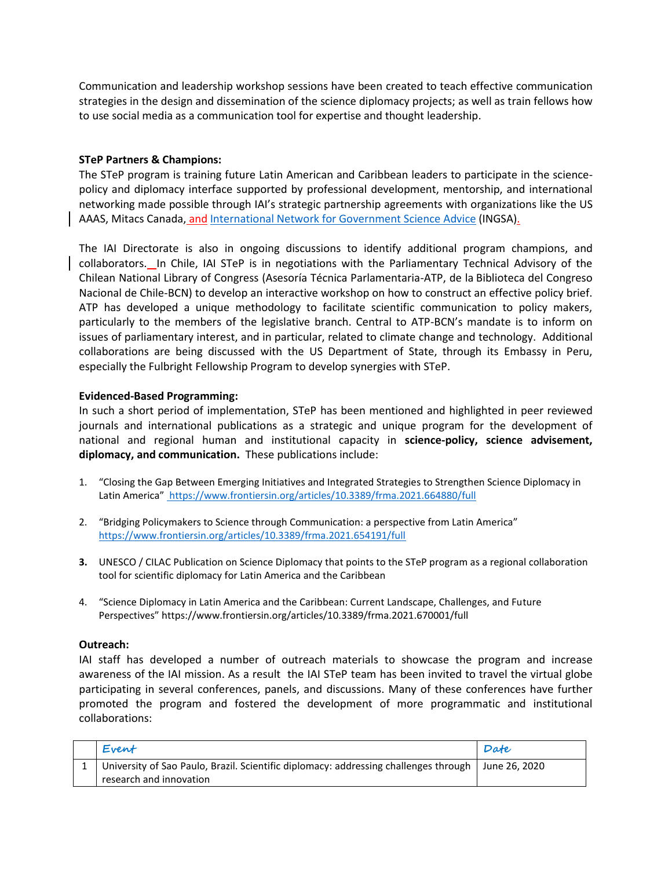Communication and leadership workshop sessions have been created to teach effective communication strategies in the design and dissemination of the science diplomacy projects; as well as train fellows how to use social media as a communication tool for expertise and thought leadership.

## **STeP Partners & Champions:**

The STeP program is training future Latin American and Caribbean leaders to participate in the sciencepolicy and diplomacy interface supported by professional development, mentorship, and international networking made possible through IAI's strategic partnership agreements with organizations like the US AAAS, Mitacs Canada, and [International Network for Government Science Advice](https://www.ingsa.org/) (INGSA).

The IAI Directorate is also in ongoing discussions to identify additional program champions, and collaborators. In Chile, IAI STeP is in negotiations with the Parliamentary Technical Advisory of the Chilean National Library of Congress (Asesoría Técnica Parlamentaria-ATP, de la Biblioteca del Congreso Nacional de Chile-BCN) to develop an interactive workshop on how to construct an effective policy brief. ATP has developed a unique methodology to facilitate scientific communication to policy makers, particularly to the members of the legislative branch. Central to ATP-BCN's mandate is to inform on issues of parliamentary interest, and in particular, related to climate change and technology. Additional collaborations are being discussed with the US Department of State, through its Embassy in Peru, especially the Fulbright Fellowship Program to develop synergies with STeP.

### **Evidenced-Based Programming:**

In such a short period of implementation, STeP has been mentioned and highlighted in peer reviewed journals and international publications as a strategic and unique program for the development of national and regional human and institutional capacity in **science-policy, science advisement, diplomacy, and communication.** These publications include:

- 1. "Closing the Gap Between Emerging Initiatives and Integrated Strategies to Strengthen Science Diplomacy in Latin America" <https://www.frontiersin.org/articles/10.3389/frma.2021.664880/full>
- 2. "Bridging Policymakers to Science through Communication: a perspective from Latin America" <https://www.frontiersin.org/articles/10.3389/frma.2021.654191/full>
- **3.** UNESCO / CILAC Publication on Science Diplomacy that points to the STeP program as a regional collaboration tool for scientific diplomacy for Latin America and the Caribbean
- 4. "Science Diplomacy in Latin America and the Caribbean: Current Landscape, Challenges, and Future Perspectives" https://www.frontiersin.org/articles/10.3389/frma.2021.670001/full

#### **Outreach:**

IAI staff has developed a number of outreach materials to showcase the program and increase awareness of the IAI mission. As a result the IAI STeP team has been invited to travel the virtual globe participating in several conferences, panels, and discussions. Many of these conferences have further promoted the program and fostered the development of more programmatic and institutional collaborations:

| Event                                                                                | Date          |
|--------------------------------------------------------------------------------------|---------------|
| University of Sao Paulo, Brazil. Scientific diplomacy: addressing challenges through | June 26, 2020 |
| research and innovation                                                              |               |